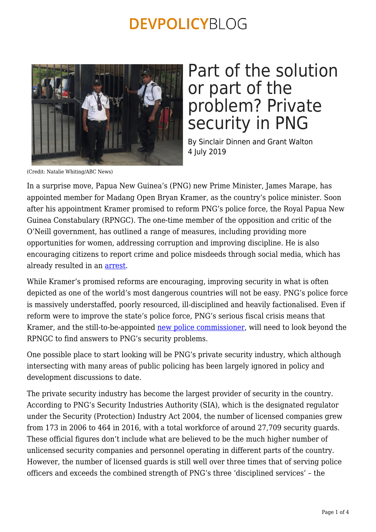

### Part of the solution or part of the problem? Private security in PNG

By Sinclair Dinnen and Grant Walton 4 July 2019

(Credit: Natalie Whiting/ABC News)

In a surprise move, Papua New Guinea's (PNG) new Prime Minister, James Marape, has appointed member for Madang Open Bryan Kramer, as the country's police minister. Soon after his appointment Kramer promised to reform PNG's police force, the Royal Papua New Guinea Constabulary (RPNGC). The one-time member of the opposition and critic of the O'Neill government, has outlined a range of measures, including providing more opportunities for women, addressing corruption and improving discipline. He is also encouraging citizens to report crime and police misdeeds through social media, which has already resulted in an [arrest](https://postcourier.com.pg/kramer-social-media-help-arrest-abusive-grandfather/).

While Kramer's promised reforms are encouraging, improving security in what is often depicted as one of the world's most dangerous countries will not be easy. PNG's police force is massively understaffed, poorly resourced, ill-disciplined and heavily factionalised. Even if reform were to improve the state's police force, PNG's serious fiscal crisis means that Kramer, and the still-to-be-appointed [new police commissioner](https://postcourier.com.pg/minister-gives-assurance-selection-police-commissioner/), will need to look beyond the RPNGC to find answers to PNG's security problems.

One possible place to start looking will be PNG's private security industry, which although intersecting with many areas of public policing has been largely ignored in policy and development discussions to date.

The private security industry has become the largest provider of security in the country. According to PNG's Security Industries Authority (SIA), which is the designated regulator under the Security (Protection) Industry Act 2004, the number of licensed companies grew from 173 in 2006 to 464 in 2016, with a total workforce of around 27,709 security guards. These official figures don't include what are believed to be the much higher number of unlicensed security companies and personnel operating in different parts of the country. However, the number of licensed guards is still well over three times that of serving police officers and exceeds the combined strength of PNG's three 'disciplined services' – the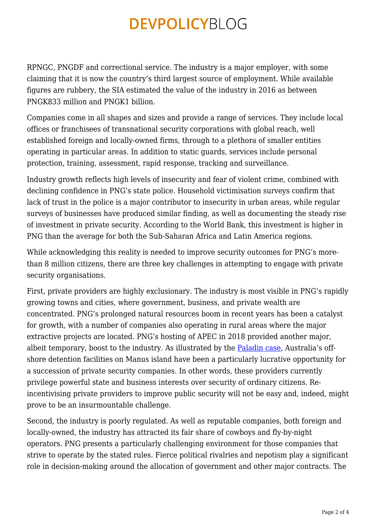RPNGC, PNGDF and correctional service. The industry is a major employer, with some claiming that it is now the country's third largest source of employment. While available figures are rubbery, the SIA estimated the value of the industry in 2016 as between PNGK833 million and PNGK1 billion.

Companies come in all shapes and sizes and provide a range of services. They include local offices or franchisees of transnational security corporations with global reach, well established foreign and locally-owned firms, through to a plethora of smaller entities operating in particular areas. In addition to static guards, services include personal protection, training, assessment, rapid response, tracking and surveillance.

Industry growth reflects high levels of insecurity and fear of violent crime, combined with declining confidence in PNG's state police. Household victimisation surveys confirm that lack of trust in the police is a major contributor to insecurity in urban areas, while regular surveys of businesses have produced similar finding, as well as documenting the steady rise of investment in private security. According to the World Bank, this investment is higher in PNG than the average for both the Sub-Saharan Africa and Latin America regions.

While acknowledging this reality is needed to improve security outcomes for PNG's morethan 8 million citizens, there are three key challenges in attempting to engage with private security organisations.

First, private providers are highly exclusionary. The industry is most visible in PNG's rapidly growing towns and cities, where government, business, and private wealth are concentrated. PNG's prolonged natural resources boom in recent years has been a catalyst for growth, with a number of companies also operating in rural areas where the major extractive projects are located. PNG's hosting of APEC in 2018 provided another major, albeit temporary, boost to the industry. As illustrated by the [Paladin case,](https://www.theguardian.com/world/2019/feb/21/former-png-official-warns-paladin-scandal-undermining-corruption-fight-in-pacific) Australia's offshore detention facilities on Manus island have been a particularly lucrative opportunity for a succession of private security companies. In other words, these providers currently privilege powerful state and business interests over security of ordinary citizens. Reincentivising private providers to improve public security will not be easy and, indeed, might prove to be an insurmountable challenge.

Second, the industry is poorly regulated. As well as reputable companies, both foreign and locally-owned, the industry has attracted its fair share of cowboys and fly-by-night operators. PNG presents a particularly challenging environment for those companies that strive to operate by the stated rules. Fierce political rivalries and nepotism play a significant role in decision-making around the allocation of government and other major contracts. The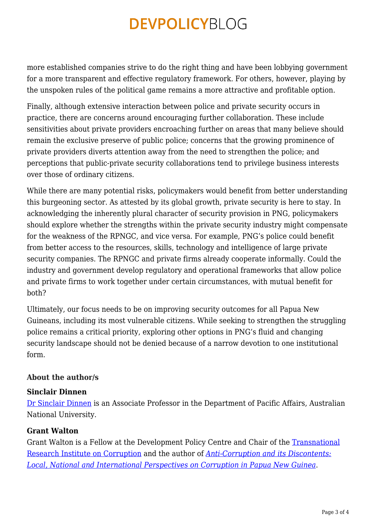more established companies strive to do the right thing and have been lobbying government for a more transparent and effective regulatory framework. For others, however, playing by the unspoken rules of the political game remains a more attractive and profitable option.

Finally, although extensive interaction between police and private security occurs in practice, there are concerns around encouraging further collaboration. These include sensitivities about private providers encroaching further on areas that many believe should remain the exclusive preserve of public police; concerns that the growing prominence of private providers diverts attention away from the need to strengthen the police; and perceptions that public-private security collaborations tend to privilege business interests over those of ordinary citizens.

While there are many potential risks, policymakers would benefit from better understanding this burgeoning sector. As attested by its global growth, private security is here to stay. In acknowledging the inherently plural character of security provision in PNG, policymakers should explore whether the strengths within the private security industry might compensate for the weakness of the RPNGC, and vice versa. For example, PNG's police could benefit from better access to the resources, skills, technology and intelligence of large private security companies. The RPNGC and private firms already cooperate informally. Could the industry and government develop regulatory and operational frameworks that allow police and private firms to work together under certain circumstances, with mutual benefit for both?

Ultimately, our focus needs to be on improving security outcomes for all Papua New Guineans, including its most vulnerable citizens. While seeking to strengthen the struggling police remains a critical priority, exploring other options in PNG's fluid and changing security landscape should not be denied because of a narrow devotion to one institutional form.

#### **About the author/s**

#### **Sinclair Dinnen**

[Dr Sinclair Dinnen](http://dpa.bellschool.anu.edu.au/experts-publications/experts/sinclair-dinnen) is an Associate Professor in the Department of Pacific Affairs, Australian National University.

#### **Grant Walton**

Grant Walton is a Fellow at the Development Policy Centre and Chair of the [Transnational](https://tric.crawford.anu.edu.au/) [Research Institute on Corruption](https://tric.crawford.anu.edu.au/) and the author of *[Anti-Corruption and its Discontents:](https://www.routledge.com/Anti-Corruption-and-its-Discontents-Local-National-and-International-Perspectives/Walton/p/book/9780367245221) [Local, National and International Perspectives on Corruption in Papua New Guinea](https://www.routledge.com/Anti-Corruption-and-its-Discontents-Local-National-and-International-Perspectives/Walton/p/book/9780367245221)*.